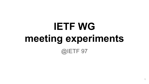# **IETF WG meeting experiments** @IETF 97

1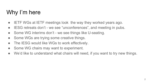## Why I'm here

- IETF WGs at IETF meetings look the way they worked years ago.
- IESG retreats don't we see "unconferences", and meeting in pubs.
- Some WG interims don't we see things like U-seating.
- Some WGs are trying some creative things.
- The IESG would like WGs to work effectively.
- Some WG chairs may want to experiment.
- We'd like to understand what chairs will need, if you want to try new things.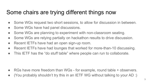## Some chairs are trying different things now

- Some WGs request two short sessions, to allow for discussion in between.
- Some WGs have had panel discussions.
- Some WGs are planning to experiment with non-classroom seating.
- Some WGs are relying partially on hackathon results to drive discussion.
- Recent IETFs have had an open sign-up room.
- Recent IETFs have had lounges that worked for more-than-10 discussing.
- This IETF has the "do stuff table" where people can run to collaborate.

- RGs have more freedom than WGs for example, round table + observers.
- (You probably shouldn't try this in an IETF WG without talking to your AD :)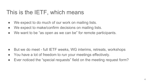### This is the IETF, which means

- We expect to do much of our work on mailing lists.
- We expect to make/confirm decisions on mailing lists.
- We want to be "as open as we can be" for remote participants.

- But we do meet full IETF weeks, WG interims, retreats, workshops
- You have a lot of freedom to run your meetings effectively.
- Ever noticed the "special requests" field on the meeting request form?